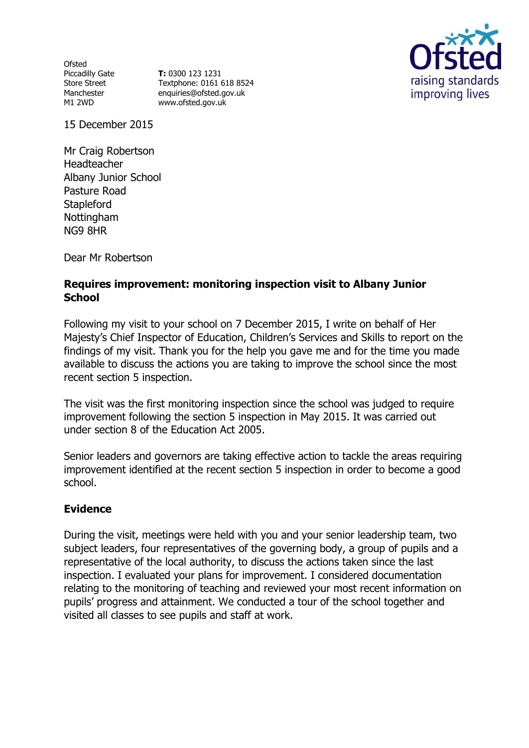**Ofsted** Piccadilly Gate Store Street Manchester M1 2WD

**T:** 0300 123 1231 Textphone: 0161 618 8524 enquiries@ofsted.gov.uk www.ofsted.gov.uk



15 December 2015

Mr Craig Robertson Headteacher Albany Junior School Pasture Road **Stapleford** Nottingham NG9 8HR

Dear Mr Robertson

### **Requires improvement: monitoring inspection visit to Albany Junior School**

Following my visit to your school on 7 December 2015, I write on behalf of Her Majesty's Chief Inspector of Education, Children's Services and Skills to report on the findings of my visit. Thank you for the help you gave me and for the time you made available to discuss the actions you are taking to improve the school since the most recent section 5 inspection.

The visit was the first monitoring inspection since the school was judged to require improvement following the section 5 inspection in May 2015. It was carried out under section 8 of the Education Act 2005.

Senior leaders and governors are taking effective action to tackle the areas requiring improvement identified at the recent section 5 inspection in order to become a good school.

# **Evidence**

During the visit, meetings were held with you and your senior leadership team, two subject leaders, four representatives of the governing body, a group of pupils and a representative of the local authority, to discuss the actions taken since the last inspection. I evaluated your plans for improvement. I considered documentation relating to the monitoring of teaching and reviewed your most recent information on pupils' progress and attainment. We conducted a tour of the school together and visited all classes to see pupils and staff at work.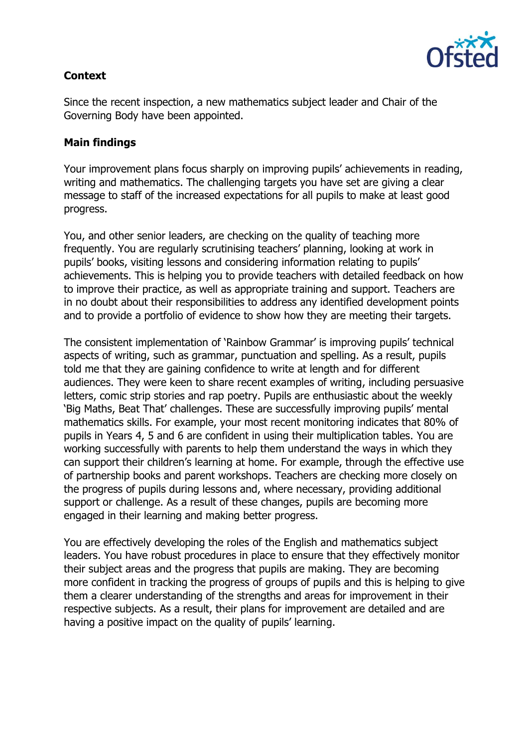

# **Context**

Since the recent inspection, a new mathematics subject leader and Chair of the Governing Body have been appointed.

#### **Main findings**

Your improvement plans focus sharply on improving pupils' achievements in reading, writing and mathematics. The challenging targets you have set are giving a clear message to staff of the increased expectations for all pupils to make at least good progress.

You, and other senior leaders, are checking on the quality of teaching more frequently. You are regularly scrutinising teachers' planning, looking at work in pupils' books, visiting lessons and considering information relating to pupils' achievements. This is helping you to provide teachers with detailed feedback on how to improve their practice, as well as appropriate training and support. Teachers are in no doubt about their responsibilities to address any identified development points and to provide a portfolio of evidence to show how they are meeting their targets.

The consistent implementation of 'Rainbow Grammar' is improving pupils' technical aspects of writing, such as grammar, punctuation and spelling. As a result, pupils told me that they are gaining confidence to write at length and for different audiences. They were keen to share recent examples of writing, including persuasive letters, comic strip stories and rap poetry. Pupils are enthusiastic about the weekly 'Big Maths, Beat That' challenges. These are successfully improving pupils' mental mathematics skills. For example, your most recent monitoring indicates that 80% of pupils in Years 4, 5 and 6 are confident in using their multiplication tables. You are working successfully with parents to help them understand the ways in which they can support their children's learning at home. For example, through the effective use of partnership books and parent workshops. Teachers are checking more closely on the progress of pupils during lessons and, where necessary, providing additional support or challenge. As a result of these changes, pupils are becoming more engaged in their learning and making better progress.

You are effectively developing the roles of the English and mathematics subject leaders. You have robust procedures in place to ensure that they effectively monitor their subject areas and the progress that pupils are making. They are becoming more confident in tracking the progress of groups of pupils and this is helping to give them a clearer understanding of the strengths and areas for improvement in their respective subjects. As a result, their plans for improvement are detailed and are having a positive impact on the quality of pupils' learning.